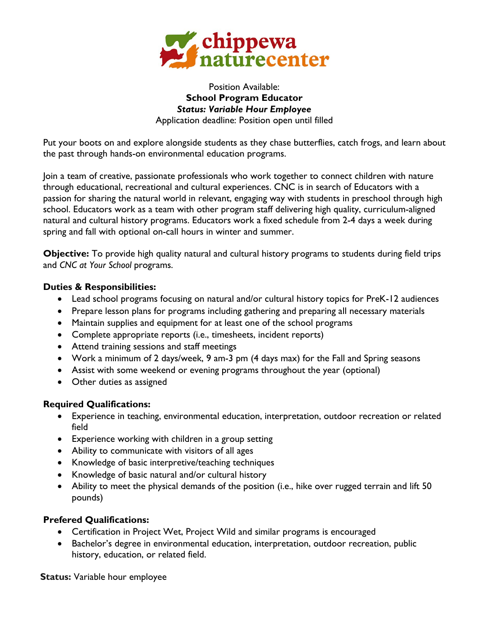

#### Position Available: **School Program Educator** *Status: Variable Hour Employee* Application deadline: Position open until filled

Put your boots on and explore alongside students as they chase butterflies, catch frogs, and learn about the past through hands-on environmental education programs.

Join a team of creative, passionate professionals who work together to connect children with nature through educational, recreational and cultural experiences. CNC is in search of Educators with a passion for sharing the natural world in relevant, engaging way with students in preschool through high school. Educators work as a team with other program staff delivering high quality, curriculum-aligned natural and cultural history programs. Educators work a fixed schedule from 2-4 days a week during spring and fall with optional on-call hours in winter and summer.

**Objective:** To provide high quality natural and cultural history programs to students during field trips and *CNC at Your School* programs.

### **Duties & Responsibilities:**

- Lead school programs focusing on natural and/or cultural history topics for PreK-12 audiences
- Prepare lesson plans for programs including gathering and preparing all necessary materials
- Maintain supplies and equipment for at least one of the school programs
- Complete appropriate reports (i.e., timesheets, incident reports)
- Attend training sessions and staff meetings
- Work a minimum of 2 days/week, 9 am-3 pm (4 days max) for the Fall and Spring seasons
- Assist with some weekend or evening programs throughout the year (optional)
- Other duties as assigned

# **Required Qualifications:**

- Experience in teaching, environmental education, interpretation, outdoor recreation or related field
- Experience working with children in a group setting
- Ability to communicate with visitors of all ages
- Knowledge of basic interpretive/teaching techniques
- Knowledge of basic natural and/or cultural history
- Ability to meet the physical demands of the position (i.e., hike over rugged terrain and lift 50 pounds)

# **Prefered Qualifications:**

- Certification in Project Wet, Project Wild and similar programs is encouraged
- Bachelor's degree in environmental education, interpretation, outdoor recreation, public history, education, or related field.

**Status:** Variable hour employee